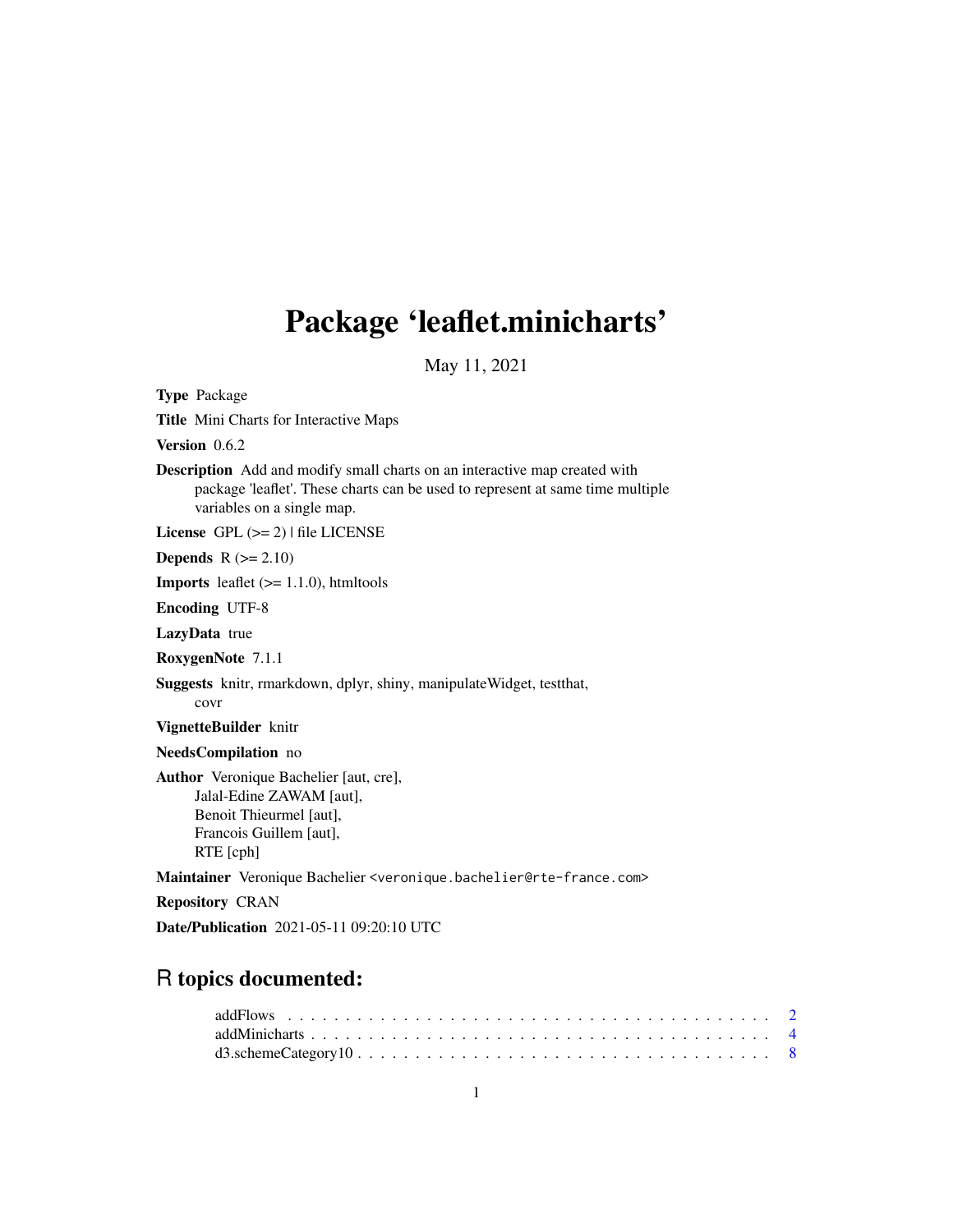## Package 'leaflet.minicharts'

May 11, 2021

<span id="page-0-0"></span>Type Package Title Mini Charts for Interactive Maps Version 0.6.2 Description Add and modify small charts on an interactive map created with package 'leaflet'. These charts can be used to represent at same time multiple variables on a single map. License GPL (>= 2) | file LICENSE Depends  $R$  ( $>= 2.10$ ) **Imports** leaflet  $(>= 1.1.0)$ , htmltools Encoding UTF-8 LazyData true RoxygenNote 7.1.1 Suggests knitr, rmarkdown, dplyr, shiny, manipulateWidget, testthat, covr VignetteBuilder knitr NeedsCompilation no Author Veronique Bachelier [aut, cre], Jalal-Edine ZAWAM [aut], Benoit Thieurmel [aut], Francois Guillem [aut], RTE [cph] Maintainer Veronique Bachelier <veronique.bachelier@rte-france.com> Repository CRAN

Date/Publication 2021-05-11 09:20:10 UTC

### R topics documented: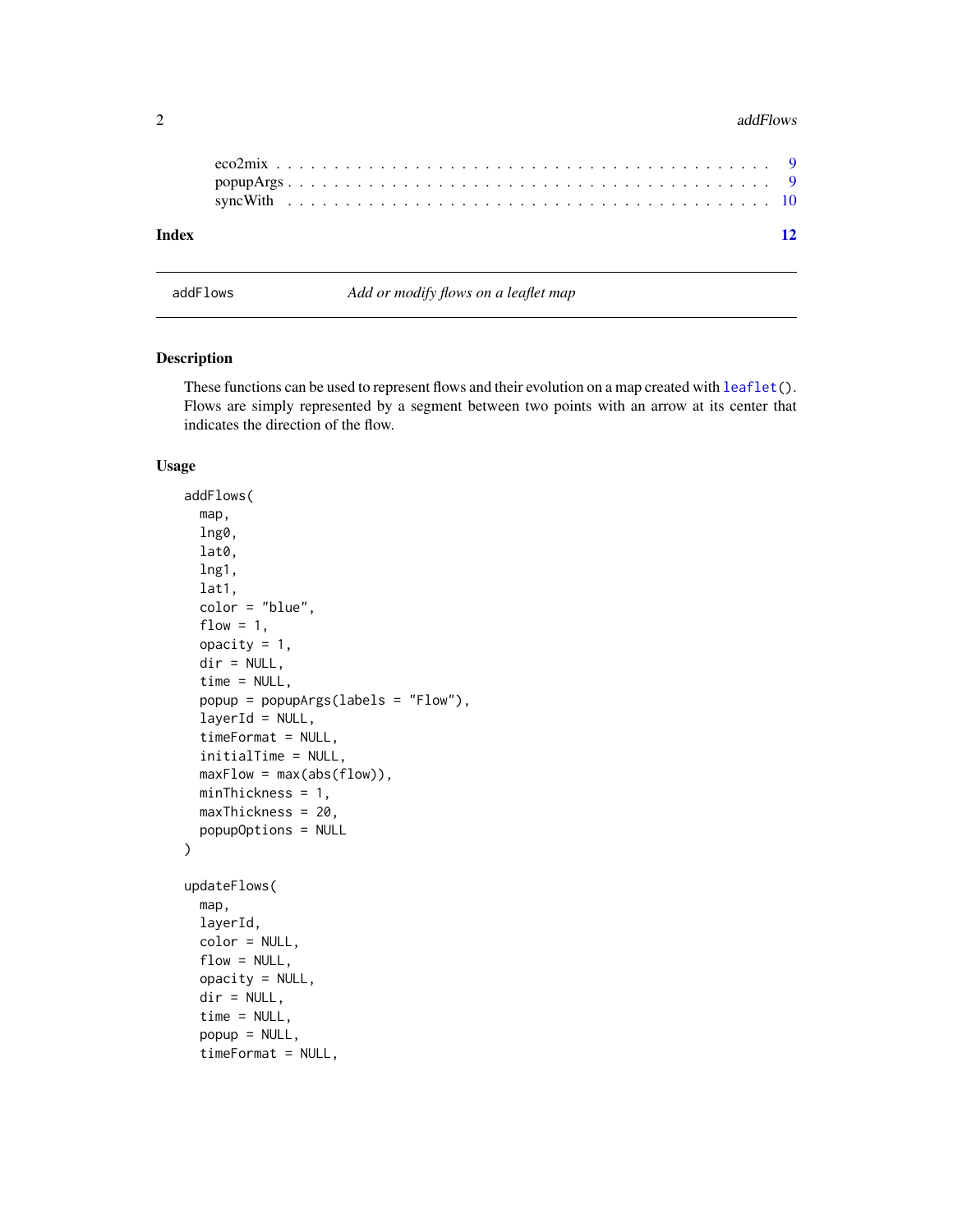#### <span id="page-1-0"></span>2 addFlows and the contract of the contract of the contract of the contract of the contract of the contract of the contract of the contract of the contract of the contract of the contract of the contract of the contract of

| 12 |
|----|
|    |
|    |
|    |

#### Description

These functions can be used to represent flows and their evolution on a map created with  $\text{leaflet}()$ . Flows are simply represented by a segment between two points with an arrow at its center that indicates the direction of the flow.

addFlows *Add or modify flows on a leaflet map*

#### Usage

```
addFlows(
  map,
  lng0,
  lat0,
  lng1,
  lat1,
  color = "blue",
  flow = 1,
  opacity = 1,
  dir = NULL,time = NULL,
  popup = popupArgs(labels = "Flow"),
  layerId = NULL,timeFormat = NULL,
  initialTime = NULL,
  maxFlow = max(abs(flow)),minThickness = 1,
  maxThickness = 20,
  popupOptions = NULL
\lambdaupdateFlows(
  map,
  layerId,
  color = NULL,
  flow = NULL,
  opacity = NULL,dir = NULL,time = NULL,
  popup = NULL,
  timeFormat = NULL,
```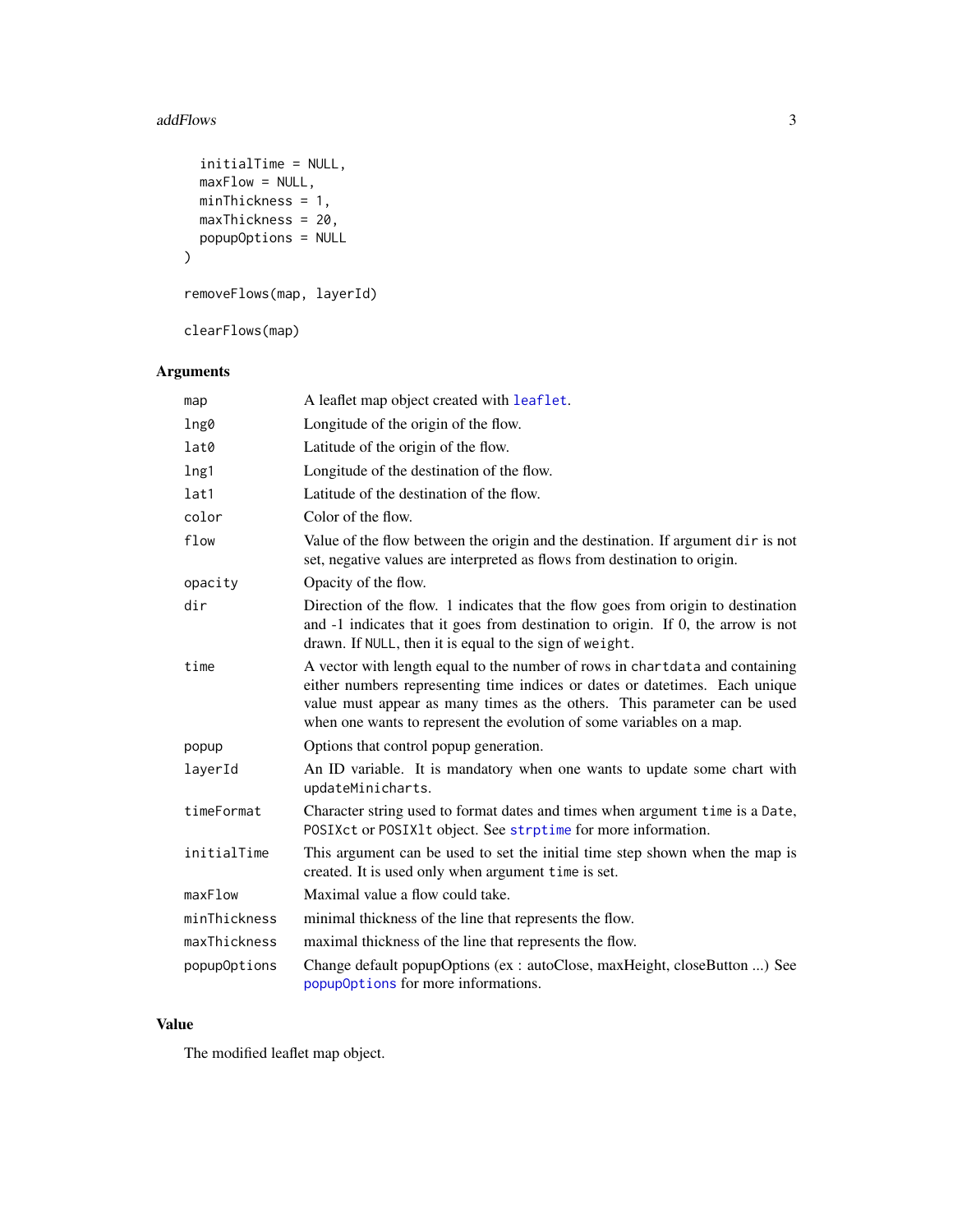#### <span id="page-2-0"></span>addFlows 3

```
initialTime = NULL,
 maxFlow = NULL,
 minThickness = 1,
 maxThickness = 20,
 popupOptions = NULL
)
```
removeFlows(map, layerId)

clearFlows(map)

#### Arguments

| map          | A leaflet map object created with leaflet.                                                                                                                                                                                                                                                                        |
|--------------|-------------------------------------------------------------------------------------------------------------------------------------------------------------------------------------------------------------------------------------------------------------------------------------------------------------------|
| lng0         | Longitude of the origin of the flow.                                                                                                                                                                                                                                                                              |
| lat0         | Latitude of the origin of the flow.                                                                                                                                                                                                                                                                               |
| lng1         | Longitude of the destination of the flow.                                                                                                                                                                                                                                                                         |
| lat1         | Latitude of the destination of the flow.                                                                                                                                                                                                                                                                          |
| color        | Color of the flow.                                                                                                                                                                                                                                                                                                |
| flow         | Value of the flow between the origin and the destination. If argument dir is not<br>set, negative values are interpreted as flows from destination to origin.                                                                                                                                                     |
| opacity      | Opacity of the flow.                                                                                                                                                                                                                                                                                              |
| dir          | Direction of the flow. 1 indicates that the flow goes from origin to destination<br>and -1 indicates that it goes from destination to origin. If 0, the arrow is not<br>drawn. If NULL, then it is equal to the sign of weight.                                                                                   |
| time         | A vector with length equal to the number of rows in chartdata and containing<br>either numbers representing time indices or dates or datetimes. Each unique<br>value must appear as many times as the others. This parameter can be used<br>when one wants to represent the evolution of some variables on a map. |
| popup        | Options that control popup generation.                                                                                                                                                                                                                                                                            |
| layerId      | An ID variable. It is mandatory when one wants to update some chart with<br>updateMinicharts.                                                                                                                                                                                                                     |
| timeFormat   | Character string used to format dates and times when argument time is a Date,<br>POSIXct or POSIX1t object. See strptime for more information.                                                                                                                                                                    |
| initialTime  | This argument can be used to set the initial time step shown when the map is<br>created. It is used only when argument time is set.                                                                                                                                                                               |
| maxFlow      | Maximal value a flow could take.                                                                                                                                                                                                                                                                                  |
| minThickness | minimal thickness of the line that represents the flow.                                                                                                                                                                                                                                                           |
| maxThickness | maximal thickness of the line that represents the flow.                                                                                                                                                                                                                                                           |
| popupOptions | Change default popupOptions (ex: autoClose, maxHeight, closeButton ) See<br>popupOptions for more informations.                                                                                                                                                                                                   |

#### Value

The modified leaflet map object.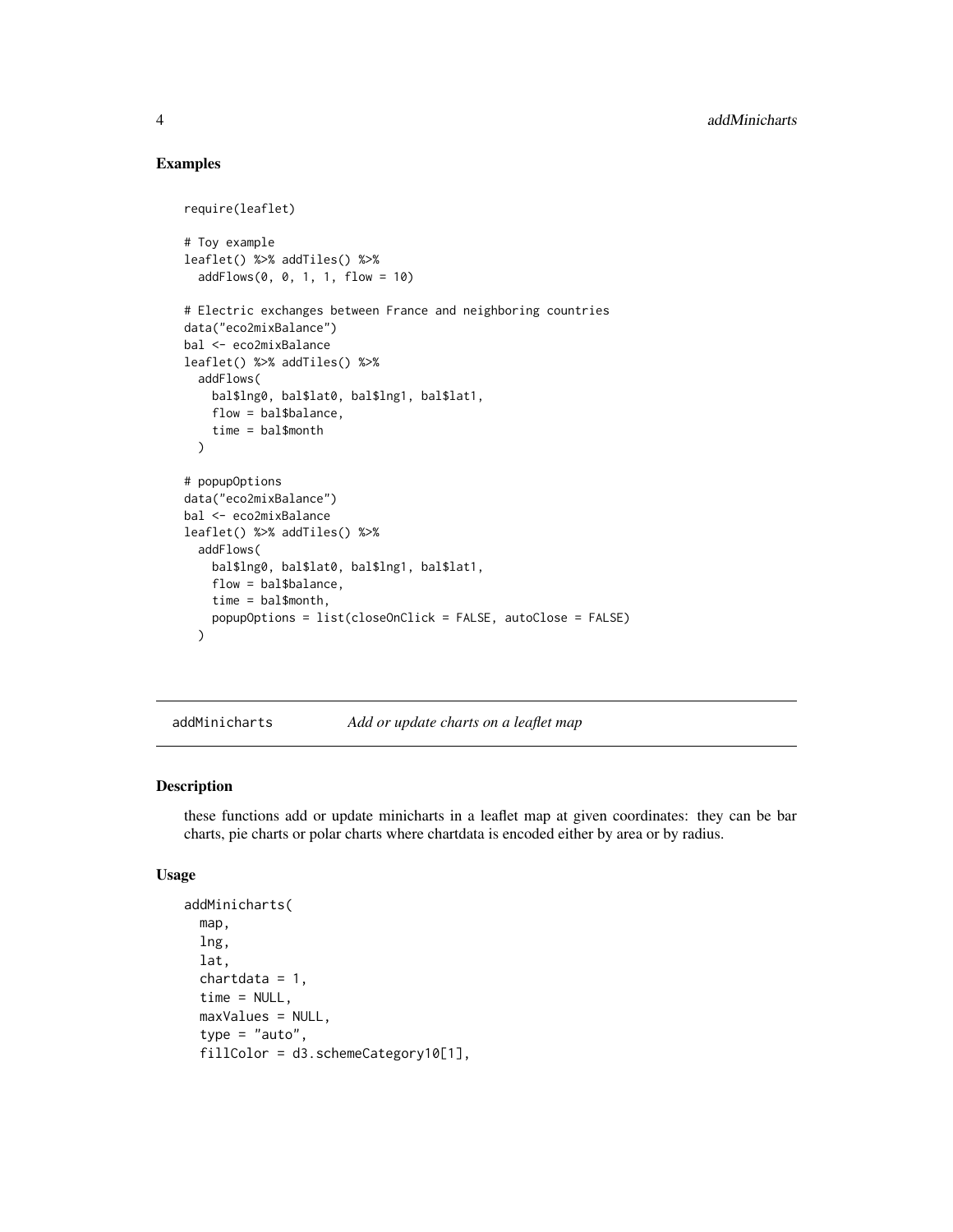#### Examples

```
require(leaflet)
# Toy example
leaflet() %>% addTiles() %>%
  addFlows(0, 0, 1, 1, flow = 10)
# Electric exchanges between France and neighboring countries
data("eco2mixBalance")
bal <- eco2mixBalance
leaflet() %>% addTiles() %>%
  addFlows(
   bal$lng0, bal$lat0, bal$lng1, bal$lat1,
   flow = bal$balance,
   time = bal$month
  \lambda# popupOptions
data("eco2mixBalance")
bal <- eco2mixBalance
leaflet() %>% addTiles() %>%
  addFlows(
   bal$lng0, bal$lat0, bal$lng1, bal$lat1,
    flow = bal$balance,
    time = bal$month,
   popupOptions = list(closeOnClick = FALSE, autoClose = FALSE)
  )
```
addMinicharts *Add or update charts on a leaflet map*

#### Description

these functions add or update minicharts in a leaflet map at given coordinates: they can be bar charts, pie charts or polar charts where chartdata is encoded either by area or by radius.

#### Usage

```
addMinicharts(
  map,
  lng,
  lat,
  chartdata = 1,
  time = NULL,
  maxValues = NULL,
  type = "auto",fillColor = d3.schemeCategory10[1],
```
<span id="page-3-0"></span>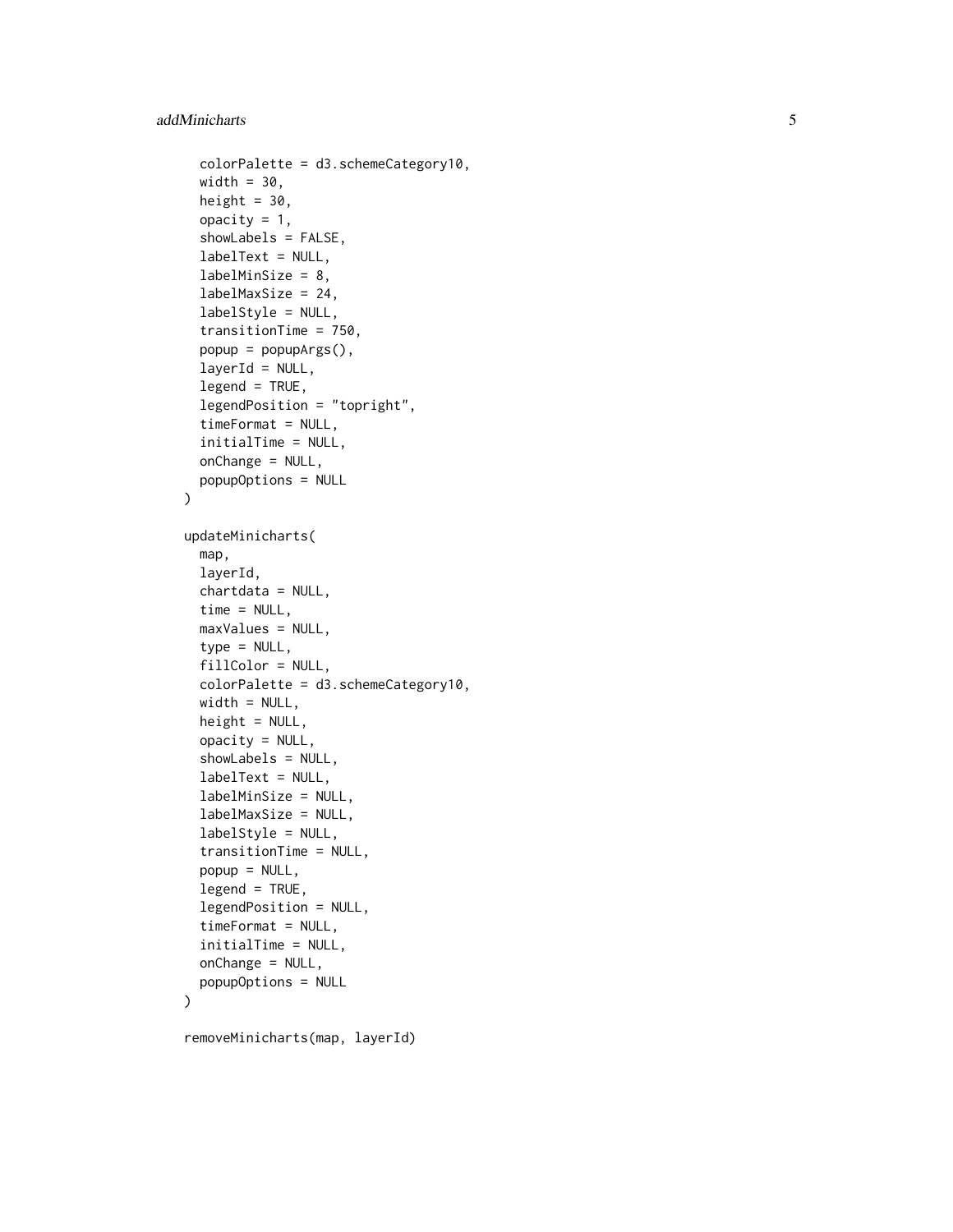```
colorPalette = d3.schemeCategory10,
  width = 30,
 height = 30.
  opacity = 1,
  showLabels = FALSE,
  labelText = NULL,
  labelMinSize = 8,
  labelMaxSize = 24,
  labelStyle = NULL,
  transitionTime = 750,
  popup = popupArgs(),
  layerId = NULL,legend = TRUE,legendPosition = "topright",
  timeFormat = NULL,
  initialTime = NULL,
  onChange = NULL,
 popupOptions = NULL
\lambdaupdateMinicharts(
  map,
  layerId,
  chartdata = NULL,
  time = NULL,
 maxValues = NULL,
  type = NULL,fillColor = NULL,
  colorPalette = d3.schemeCategory10,
 width = NULL,height = NULL,opacity = NULL,showLabels = NULL,
  labelText = NULL,
  labelMinSize = NULL,
  labelMaxSize = NULL,
  labelStyle = NULL,
  transitionTime = NULL,
  popup = NULL,legend = TRUE,legendPosition = NULL,
  timeFormat = NULL,
  initialTime = NULL,
  onChange = NULL,
 popupOptions = NULL
)
removeMinicharts(map, layerId)
```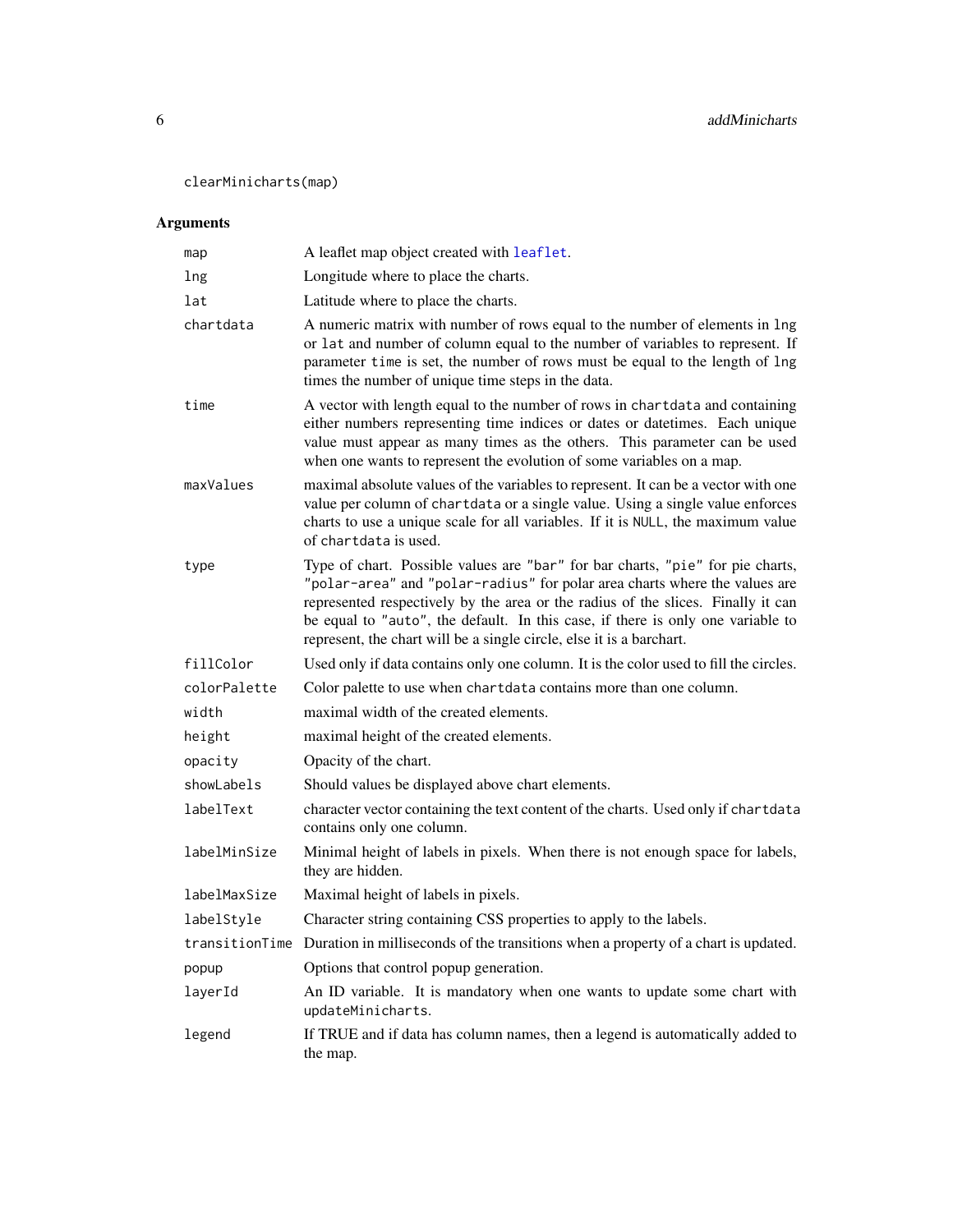<span id="page-5-0"></span>clearMinicharts(map)

#### Arguments

| map          | A leaflet map object created with leaflet.                                                                                                                                                                                                                                                                                                                                                                  |
|--------------|-------------------------------------------------------------------------------------------------------------------------------------------------------------------------------------------------------------------------------------------------------------------------------------------------------------------------------------------------------------------------------------------------------------|
| lng          | Longitude where to place the charts.                                                                                                                                                                                                                                                                                                                                                                        |
| lat          | Latitude where to place the charts.                                                                                                                                                                                                                                                                                                                                                                         |
| chartdata    | A numeric matrix with number of rows equal to the number of elements in lng<br>or lat and number of column equal to the number of variables to represent. If<br>parameter time is set, the number of rows must be equal to the length of lng<br>times the number of unique time steps in the data.                                                                                                          |
| time         | A vector with length equal to the number of rows in chartdata and containing<br>either numbers representing time indices or dates or datetimes. Each unique<br>value must appear as many times as the others. This parameter can be used<br>when one wants to represent the evolution of some variables on a map.                                                                                           |
| maxValues    | maximal absolute values of the variables to represent. It can be a vector with one<br>value per column of chartdata or a single value. Using a single value enforces<br>charts to use a unique scale for all variables. If it is NULL, the maximum value<br>of chartdata is used.                                                                                                                           |
| type         | Type of chart. Possible values are "bar" for bar charts, "pie" for pie charts,<br>"polar-area" and "polar-radius" for polar area charts where the values are<br>represented respectively by the area or the radius of the slices. Finally it can<br>be equal to "auto", the default. In this case, if there is only one variable to<br>represent, the chart will be a single circle, else it is a barchart. |
| fillColor    | Used only if data contains only one column. It is the color used to fill the circles.                                                                                                                                                                                                                                                                                                                       |
| colorPalette | Color palette to use when chartdata contains more than one column.                                                                                                                                                                                                                                                                                                                                          |
| width        | maximal width of the created elements.                                                                                                                                                                                                                                                                                                                                                                      |
| height       | maximal height of the created elements.                                                                                                                                                                                                                                                                                                                                                                     |
| opacity      | Opacity of the chart.                                                                                                                                                                                                                                                                                                                                                                                       |
| showLabels   | Should values be displayed above chart elements.                                                                                                                                                                                                                                                                                                                                                            |
| labelText    | character vector containing the text content of the charts. Used only if chartdata<br>contains only one column.                                                                                                                                                                                                                                                                                             |
| labelMinSize | Minimal height of labels in pixels. When there is not enough space for labels,<br>they are hidden.                                                                                                                                                                                                                                                                                                          |
| labelMaxSize | Maximal height of labels in pixels.                                                                                                                                                                                                                                                                                                                                                                         |
| labelStyle   | Character string containing CSS properties to apply to the labels.                                                                                                                                                                                                                                                                                                                                          |
|              | transitionTime Duration in milliseconds of the transitions when a property of a chart is updated.                                                                                                                                                                                                                                                                                                           |
| popup        | Options that control popup generation.                                                                                                                                                                                                                                                                                                                                                                      |
| layerId      | An ID variable. It is mandatory when one wants to update some chart with<br>updateMinicharts.                                                                                                                                                                                                                                                                                                               |
| legend       | If TRUE and if data has column names, then a legend is automatically added to<br>the map.                                                                                                                                                                                                                                                                                                                   |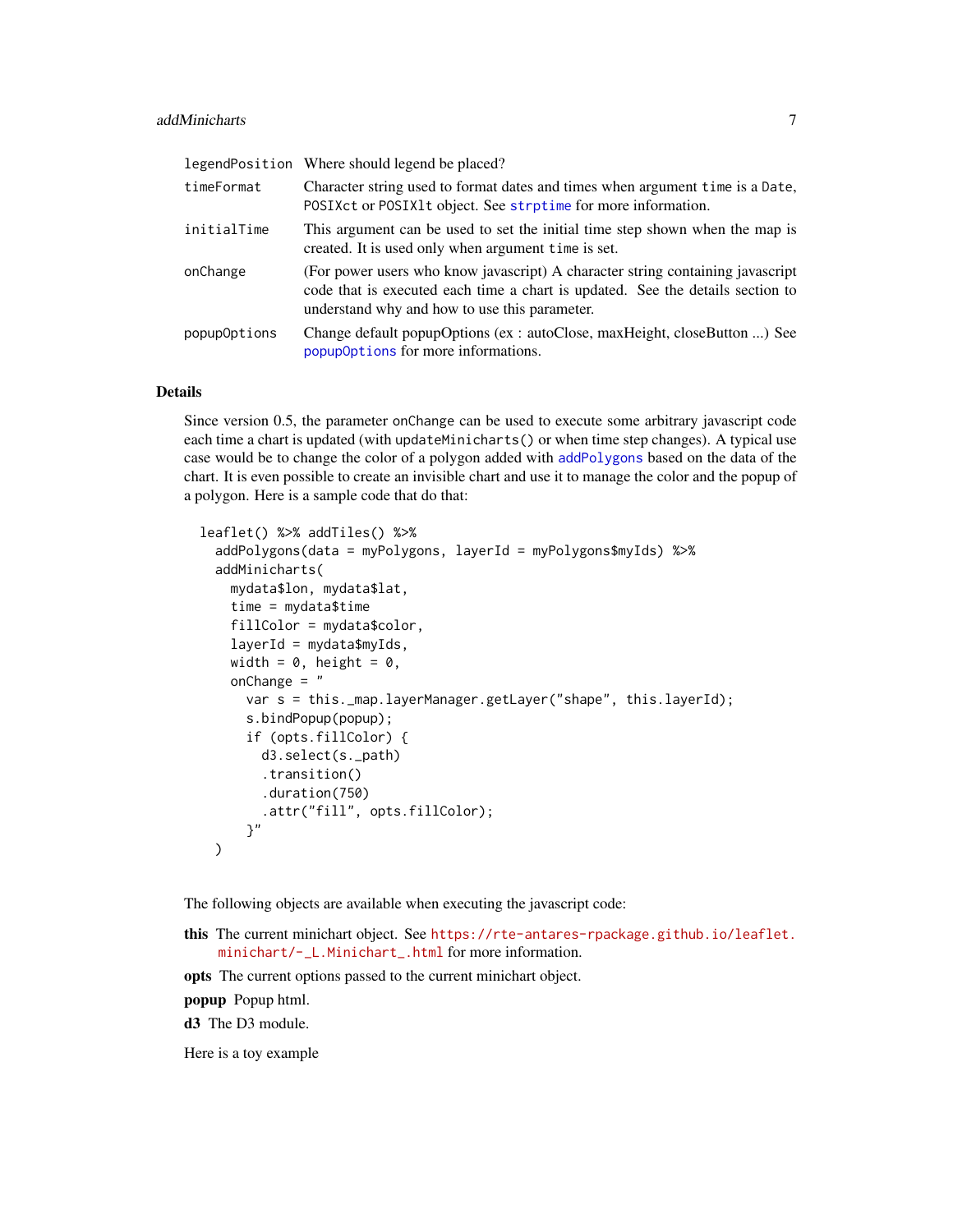<span id="page-6-0"></span>

|              | legendPosition Where should legend be placed?                                                                                                                                                                     |
|--------------|-------------------------------------------------------------------------------------------------------------------------------------------------------------------------------------------------------------------|
| timeFormat   | Character string used to format dates and times when argument time is a Date,<br>POSIXct or POSIX1t object. See strptime for more information.                                                                    |
| initialTime  | This argument can be used to set the initial time step shown when the map is<br>created. It is used only when argument time is set.                                                                               |
| onChange     | (For power users who know javascript) A character string containing javascript<br>code that is executed each time a chart is updated. See the details section to<br>understand why and how to use this parameter. |
| popupOptions | Change default popupOptions (ex: autoClose, maxHeight, closeButton ) See<br>popupOptions for more informations.                                                                                                   |

#### Details

Since version 0.5, the parameter onChange can be used to execute some arbitrary javascript code each time a chart is updated (with updateMinicharts() or when time step changes). A typical use case would be to change the color of a polygon added with [addPolygons](#page-0-0) based on the data of the chart. It is even possible to create an invisible chart and use it to manage the color and the popup of a polygon. Here is a sample code that do that:

```
leaflet() %>% addTiles() %>%
 addPolygons(data = myPolygons, layerId = myPolygons$myIds) %>%
 addMinicharts(
   mydata$lon, mydata$lat,
   time = mydata$time
   fillColor = mydata$color,
   layerId = mydata$myIds,
   width = 0, height = 0,
   onChange = "
     var s = this._map.layerManager.getLayer("shape", this.layerId);
     s.bindPopup(popup);
     if (opts.fillColor) {
       d3.select(s._path)
        .transition()
        .duration(750)
        .attr("fill", opts.fillColor);
      }"
 )
```
The following objects are available when executing the javascript code:

this The current minichart object. See [https://rte-antares-rpackage.github.io/leaflet.](https://rte-antares-rpackage.github.io/leaflet.minichart/-_L.Minichart_.html) [minichart/-\\_L.Minichart\\_.html](https://rte-antares-rpackage.github.io/leaflet.minichart/-_L.Minichart_.html) for more information.

opts The current options passed to the current minichart object.

popup Popup html.

d3 The D3 module.

Here is a toy example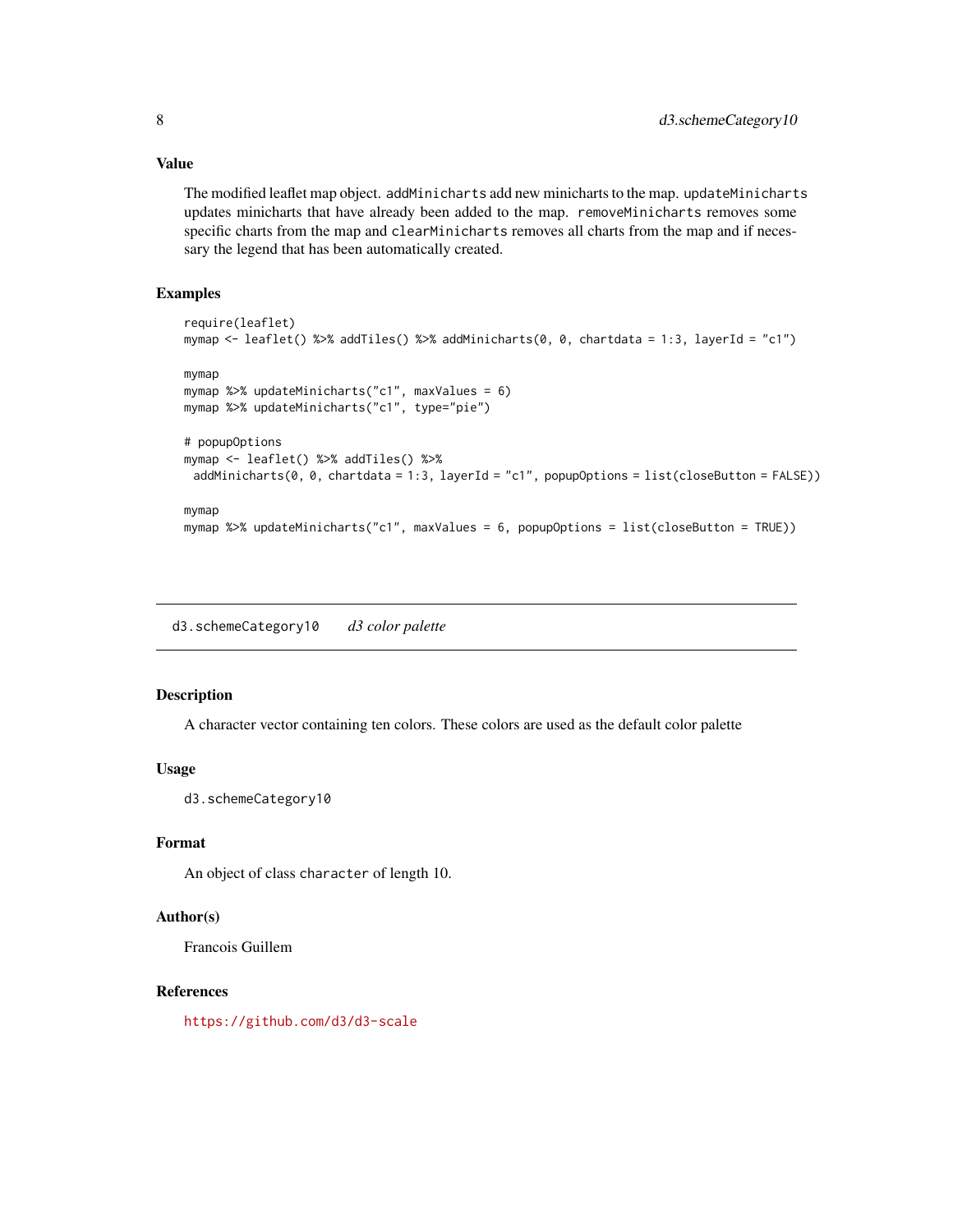#### Value

The modified leaflet map object. addMinicharts add new minicharts to the map. updateMinicharts updates minicharts that have already been added to the map. removeMinicharts removes some specific charts from the map and clearMinicharts removes all charts from the map and if necessary the legend that has been automatically created.

#### Examples

```
require(leaflet)
mymap <- leaflet() %>% addTiles() %>% addMinicharts(0, 0, chartdata = 1:3, layerId = "c1")
mymap
mymap %>% updateMinicharts("c1", maxValues = 6)
mymap %>% updateMinicharts("c1", type="pie")
# popupOptions
mymap <- leaflet() %>% addTiles() %>%
 addMinicharts(0, 0, chartdata = 1:3, layerId = "c1", popupOptions = list(closeButton = FALSE))
mymap
mymap %>% updateMinicharts("c1", maxValues = 6, popupOptions = list(closeButton = TRUE))
```
d3.schemeCategory10 *d3 color palette*

#### Description

A character vector containing ten colors. These colors are used as the default color palette

#### Usage

d3.schemeCategory10

#### Format

An object of class character of length 10.

#### Author(s)

Francois Guillem

#### References

<https://github.com/d3/d3-scale>

<span id="page-7-0"></span>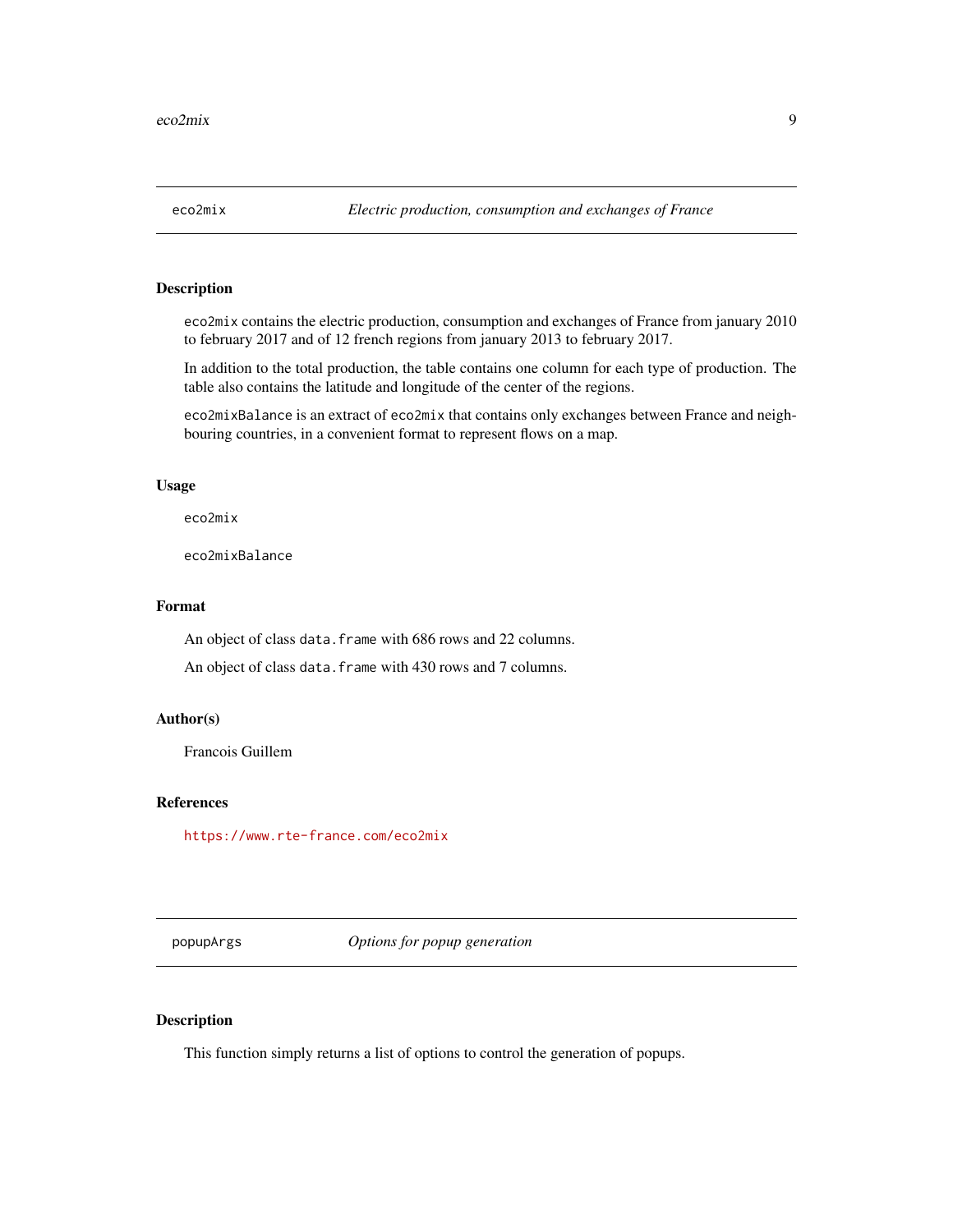<span id="page-8-0"></span>

#### Description

eco2mix contains the electric production, consumption and exchanges of France from january 2010 to february 2017 and of 12 french regions from january 2013 to february 2017.

In addition to the total production, the table contains one column for each type of production. The table also contains the latitude and longitude of the center of the regions.

eco2mixBalance is an extract of eco2mix that contains only exchanges between France and neighbouring countries, in a convenient format to represent flows on a map.

#### Usage

eco2mix

eco2mixBalance

#### Format

An object of class data. frame with 686 rows and 22 columns.

An object of class data.frame with 430 rows and 7 columns.

#### Author(s)

Francois Guillem

#### References

<https://www.rte-france.com/eco2mix>

popupArgs *Options for popup generation*

#### Description

This function simply returns a list of options to control the generation of popups.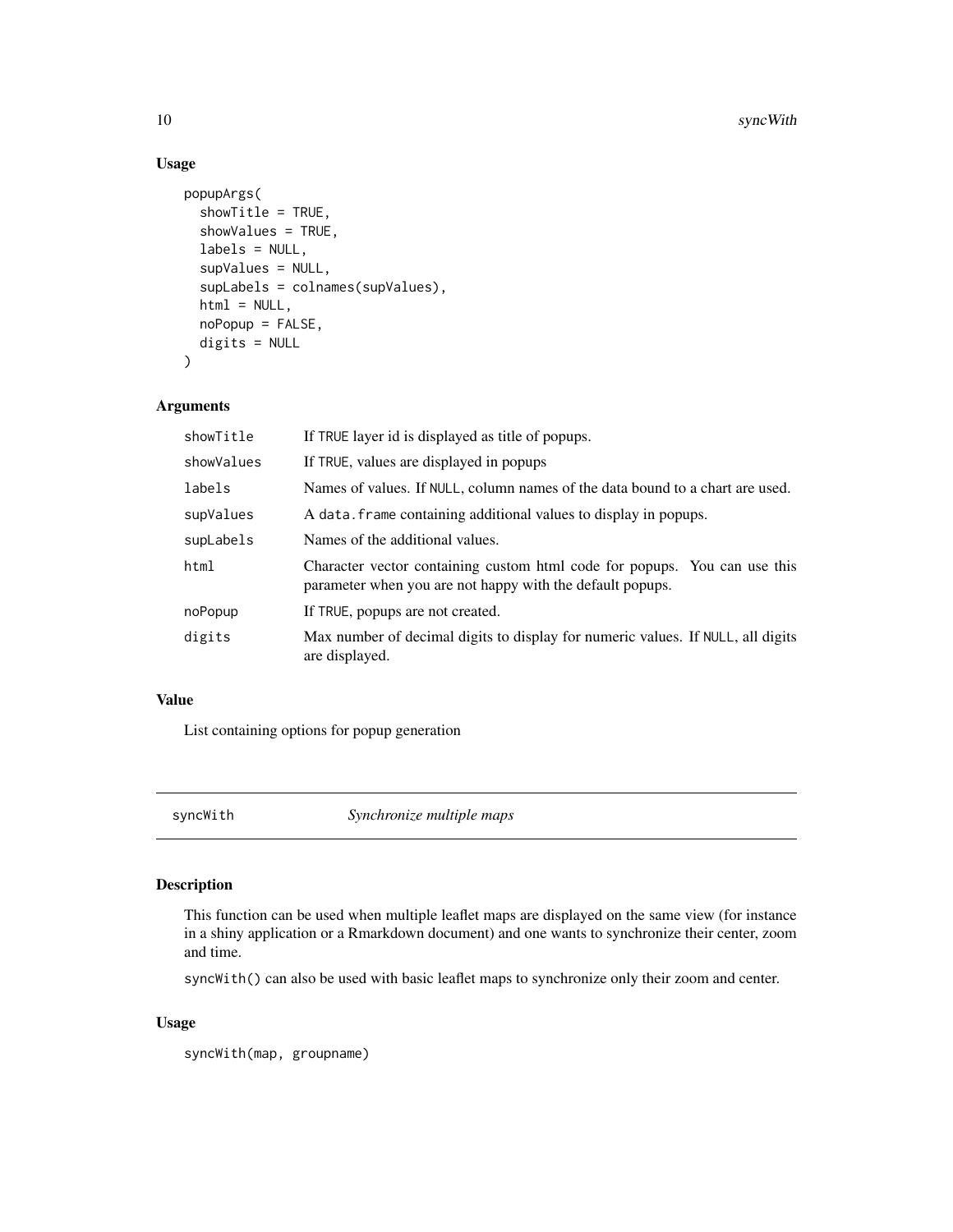#### Usage

```
popupArgs(
  showTitle = TRUE,
  showValues = TRUE,
  labels = NULL,
  supValues = NULL,
  supLabels = colnames(supValues),
  html = NULL,noPopup = FALSE,
 digits = NULL
\lambda
```
#### Arguments

| showTitle  | If TRUE layer id is displayed as title of popups.                                                                                      |
|------------|----------------------------------------------------------------------------------------------------------------------------------------|
| showValues | If TRUE, values are displayed in popups                                                                                                |
| labels     | Names of values. If NULL, column names of the data bound to a chart are used.                                                          |
| supValues  | A data. Frame containing additional values to display in popups.                                                                       |
| supLabels  | Names of the additional values.                                                                                                        |
| html       | Character vector containing custom html code for popups. You can use this<br>parameter when you are not happy with the default popups. |
| noPopup    | If TRUE, popups are not created.                                                                                                       |
| digits     | Max number of decimal digits to display for numeric values. If NULL, all digits<br>are displayed.                                      |

#### Value

List containing options for popup generation

syncWith *Synchronize multiple maps*

#### Description

This function can be used when multiple leaflet maps are displayed on the same view (for instance in a shiny application or a Rmarkdown document) and one wants to synchronize their center, zoom and time.

syncWith() can also be used with basic leaflet maps to synchronize only their zoom and center.

#### Usage

syncWith(map, groupname)

<span id="page-9-0"></span>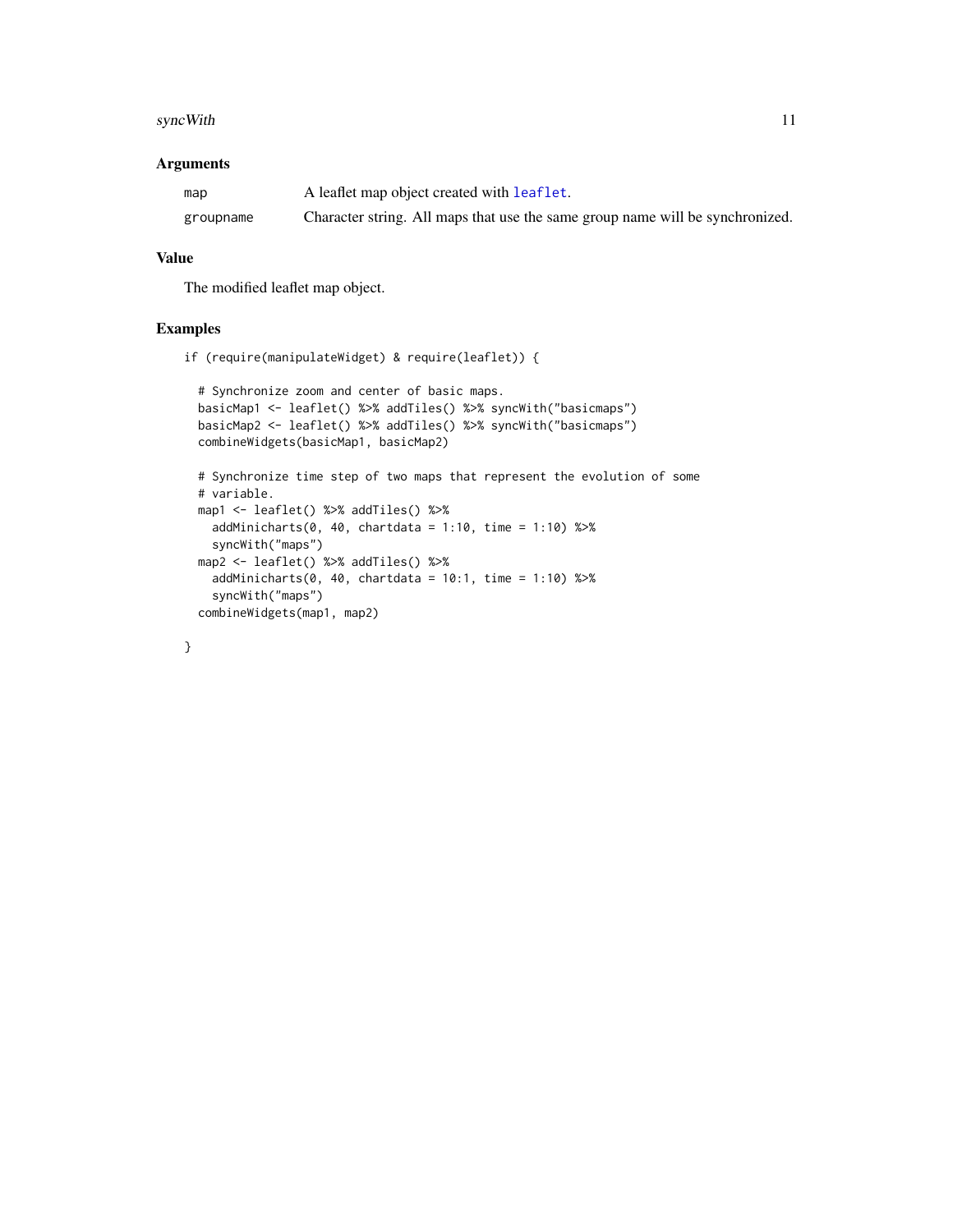#### <span id="page-10-0"></span>syncWith 11

#### Arguments

| map       | A leaflet map object created with leaflet.                                    |
|-----------|-------------------------------------------------------------------------------|
| groupname | Character string. All maps that use the same group name will be synchronized. |

#### Value

The modified leaflet map object.

#### Examples

```
if (require(manipulateWidget) & require(leaflet)) {
```

```
# Synchronize zoom and center of basic maps.
basicMap1 <- leaflet() %>% addTiles() %>% syncWith("basicmaps")
basicMap2 <- leaflet() %>% addTiles() %>% syncWith("basicmaps")
combineWidgets(basicMap1, basicMap2)
# Synchronize time step of two maps that represent the evolution of some
# variable.
map1 <- leaflet() %>% addTiles() %>%
 addMinicharts(0, 40, chartdata = 1:10, time = 1:10) %>%
 syncWith("maps")
map2 <- leaflet() %>% addTiles() %>%
 addMinicharts(0, 40, chartdata = 10:1, time = 1:10) %>%
  syncWith("maps")
combineWidgets(map1, map2)
```

```
}
```